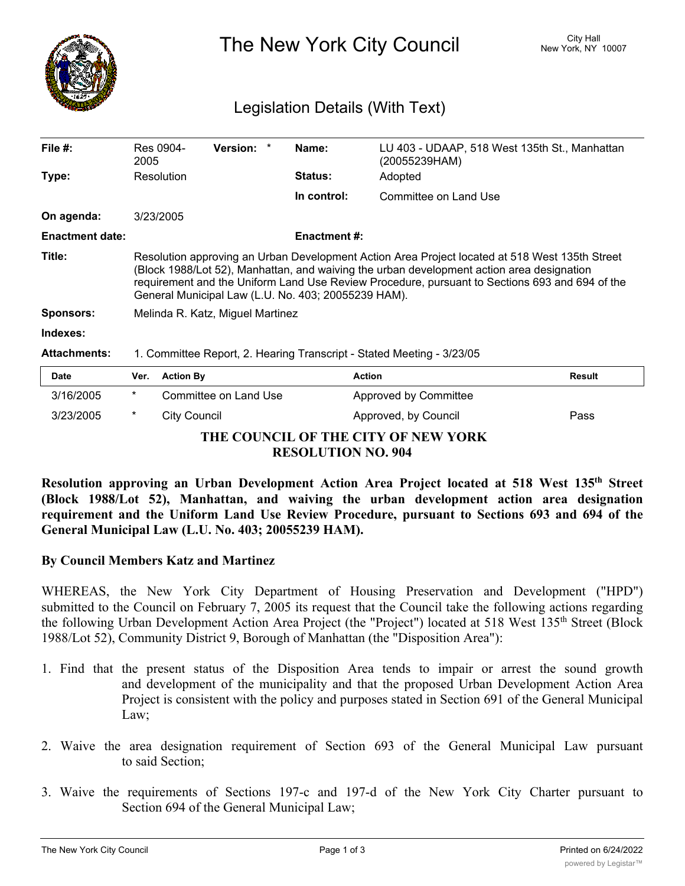

The New York City Council New York, NY 10007

## Legislation Details (With Text)

| File $#$ :             | Res 0904-<br>2005                                                                                                                                                                                                                                                                                                                                    |                       | <b>Version:</b> |                | Name:       | LU 403 - UDAAP, 518 West 135th St., Manhattan<br>(20055239HAM) |               |
|------------------------|------------------------------------------------------------------------------------------------------------------------------------------------------------------------------------------------------------------------------------------------------------------------------------------------------------------------------------------------------|-----------------------|-----------------|----------------|-------------|----------------------------------------------------------------|---------------|
| Type:                  | Resolution                                                                                                                                                                                                                                                                                                                                           |                       |                 | <b>Status:</b> | Adopted     |                                                                |               |
|                        |                                                                                                                                                                                                                                                                                                                                                      |                       |                 |                | In control: | Committee on Land Use                                          |               |
| On agenda:             | 3/23/2005                                                                                                                                                                                                                                                                                                                                            |                       |                 |                |             |                                                                |               |
| <b>Enactment date:</b> | <b>Enactment #:</b>                                                                                                                                                                                                                                                                                                                                  |                       |                 |                |             |                                                                |               |
| Title:                 | Resolution approving an Urban Development Action Area Project located at 518 West 135th Street<br>(Block 1988/Lot 52), Manhattan, and waiving the urban development action area designation<br>requirement and the Uniform Land Use Review Procedure, pursuant to Sections 693 and 694 of the<br>General Municipal Law (L.U. No. 403; 20055239 HAM). |                       |                 |                |             |                                                                |               |
| <b>Sponsors:</b>       | Melinda R. Katz, Miguel Martinez                                                                                                                                                                                                                                                                                                                     |                       |                 |                |             |                                                                |               |
| Indexes:               |                                                                                                                                                                                                                                                                                                                                                      |                       |                 |                |             |                                                                |               |
| <b>Attachments:</b>    | 1. Committee Report, 2. Hearing Transcript - Stated Meeting - 3/23/05                                                                                                                                                                                                                                                                                |                       |                 |                |             |                                                                |               |
| Date                   | Ver.                                                                                                                                                                                                                                                                                                                                                 | <b>Action By</b>      |                 |                |             | <b>Action</b>                                                  | <b>Result</b> |
| 3/16/2005              | $\star$                                                                                                                                                                                                                                                                                                                                              | Committee on Land Use |                 |                |             | Approved by Committee                                          |               |
| 3/23/2005              | *                                                                                                                                                                                                                                                                                                                                                    | City Council          |                 |                |             | Approved, by Council                                           | Pass          |

**THE COUNCIL OF THE CITY OF NEW YORK RESOLUTION NO. 904**

**Resolution approving an Urban Development Action Area Project located at 518 West 135th Street (Block 1988/Lot 52), Manhattan, and waiving the urban development action area designation requirement and the Uniform Land Use Review Procedure, pursuant to Sections 693 and 694 of the General Municipal Law (L.U. No. 403; 20055239 HAM).**

## **By Council Members Katz and Martinez**

WHEREAS, the New York City Department of Housing Preservation and Development ("HPD") submitted to the Council on February 7, 2005 its request that the Council take the following actions regarding the following Urban Development Action Area Project (the "Project") located at 518 West 135<sup>th</sup> Street (Block 1988/Lot 52), Community District 9, Borough of Manhattan (the "Disposition Area"):

- 1. Find that the present status of the Disposition Area tends to impair or arrest the sound growth and development of the municipality and that the proposed Urban Development Action Area Project is consistent with the policy and purposes stated in Section 691 of the General Municipal Law;
- 2. Waive the area designation requirement of Section 693 of the General Municipal Law pursuant to said Section;
- 3. Waive the requirements of Sections 197-c and 197-d of the New York City Charter pursuant to Section 694 of the General Municipal Law;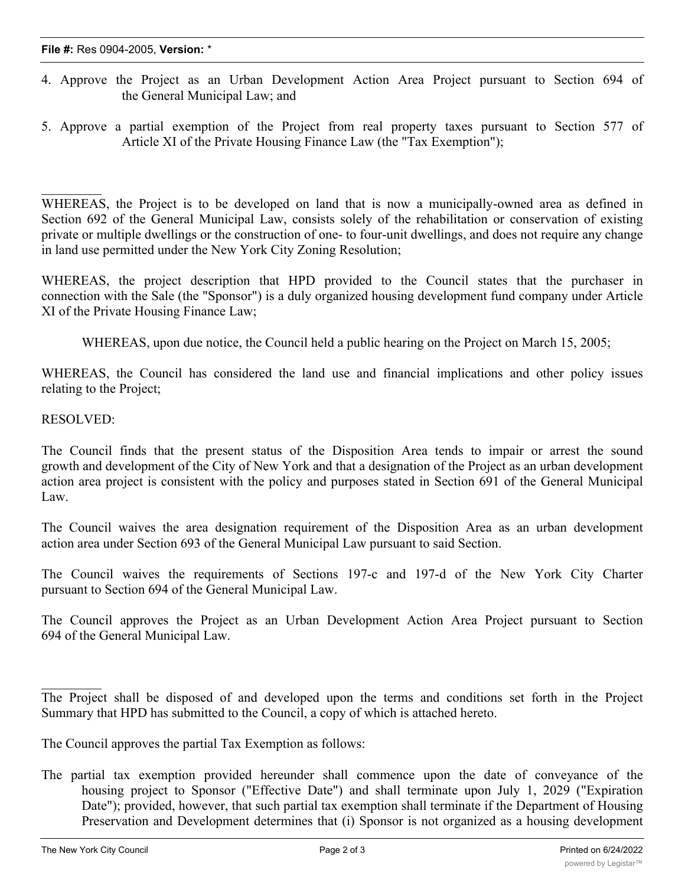- 4. Approve the Project as an Urban Development Action Area Project pursuant to Section 694 of the General Municipal Law; and
- 5. Approve a partial exemption of the Project from real property taxes pursuant to Section 577 of Article XI of the Private Housing Finance Law (the "Tax Exemption");

WHEREAS, the Project is to be developed on land that is now a municipally-owned area as defined in Section 692 of the General Municipal Law, consists solely of the rehabilitation or conservation of existing private or multiple dwellings or the construction of one- to four-unit dwellings, and does not require any change in land use permitted under the New York City Zoning Resolution;

WHEREAS, the project description that HPD provided to the Council states that the purchaser in connection with the Sale (the "Sponsor") is a duly organized housing development fund company under Article XI of the Private Housing Finance Law;

WHEREAS, upon due notice, the Council held a public hearing on the Project on March 15, 2005;

WHEREAS, the Council has considered the land use and financial implications and other policy issues relating to the Project;

RESOLVED:

 $\frac{1}{2}$ 

The Council finds that the present status of the Disposition Area tends to impair or arrest the sound growth and development of the City of New York and that a designation of the Project as an urban development action area project is consistent with the policy and purposes stated in Section 691 of the General Municipal Law.

The Council waives the area designation requirement of the Disposition Area as an urban development action area under Section 693 of the General Municipal Law pursuant to said Section.

The Council waives the requirements of Sections 197-c and 197-d of the New York City Charter pursuant to Section 694 of the General Municipal Law.

The Council approves the Project as an Urban Development Action Area Project pursuant to Section 694 of the General Municipal Law.

The Council approves the partial Tax Exemption as follows:

The partial tax exemption provided hereunder shall commence upon the date of conveyance of the housing project to Sponsor ("Effective Date") and shall terminate upon July 1, 2029 ("Expiration Date"); provided, however, that such partial tax exemption shall terminate if the Department of Housing Preservation and Development determines that (i) Sponsor is not organized as a housing development

fund corporation, (iii) Sponsor is not operating the housing project in accordance with the requirements  $\mathcal{L}_{\mathcal{A}}$ 

The Project shall be disposed of and developed upon the terms and conditions set forth in the Project Summary that HPD has submitted to the Council, a copy of which is attached hereto.